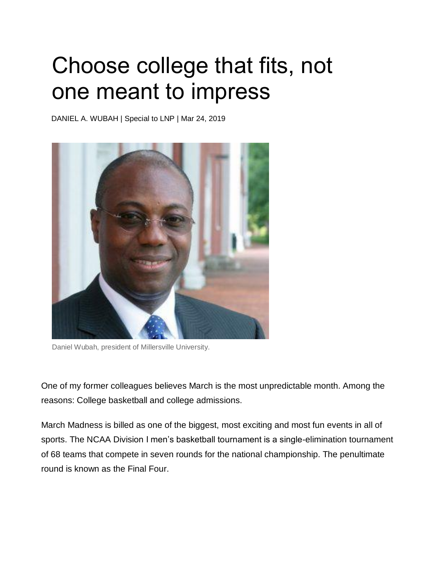## Choose college that fits, not one meant to impress

DANIEL A. WUBAH | Special to LNP | Mar 24, 2019



Daniel Wubah, president of Millersville University.

One of my former colleagues believes March is the most unpredictable month. Among the reasons: College basketball and college admissions.

March Madness is billed as one of the biggest, most exciting and most fun events in all of sports. The NCAA Division I men's basketball tournament is a single-elimination tournament of 68 teams that compete in seven rounds for the national championship. The penultimate round is known as the Final Four.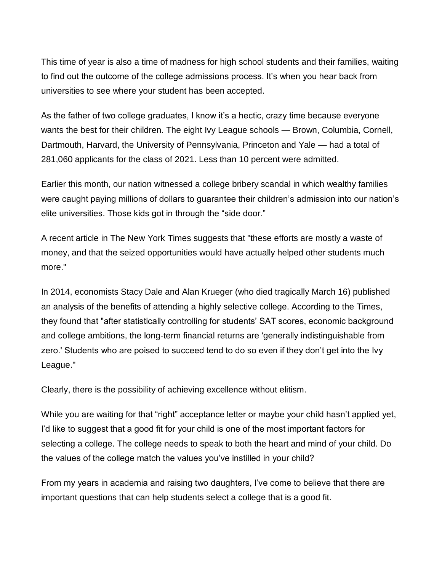This time of year is also a time of madness for high school students and their families, waiting to find out the outcome of the college admissions process. It's when you hear back from universities to see where your student has been accepted.

As the father of two college graduates, I know it's a hectic, crazy time because everyone wants the best for their children. The eight Ivy League schools — Brown, Columbia, Cornell, Dartmouth, Harvard, the University of Pennsylvania, Princeton and Yale — had a total of 281,060 applicants for the class of 2021. Less than 10 percent were admitted.

Earlier this month, our nation witnessed a college bribery scandal in which wealthy families were caught paying millions of dollars to guarantee their children's admission into our nation's elite universities. Those kids got in through the "side door."

A recent article in The New York Times suggests that "these efforts are mostly a waste of money, and that the seized opportunities would have actually helped other students much more."

In 2014, economists Stacy Dale and Alan Krueger (who died tragically March 16) published an analysis of the benefits of attending a highly selective college. According to the Times, they found that "after statistically controlling for students' SAT scores, economic background and college ambitions, the long-term financial returns are 'generally indistinguishable from zero.' Students who are poised to succeed tend to do so even if they don't get into the Ivy League."

Clearly, there is the possibility of achieving excellence without elitism.

While you are waiting for that "right" acceptance letter or maybe your child hasn't applied yet, I'd like to suggest that a good fit for your child is one of the most important factors for selecting a college. The college needs to speak to both the heart and mind of your child. Do the values of the college match the values you've instilled in your child?

From my years in academia and raising two daughters, I've come to believe that there are important questions that can help students select a college that is a good fit.